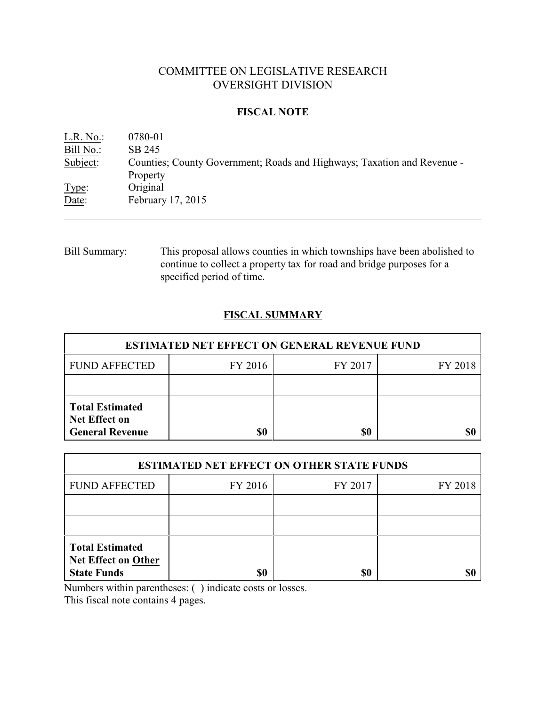# COMMITTEE ON LEGISLATIVE RESEARCH OVERSIGHT DIVISION

## **FISCAL NOTE**

| L.R. No.: | 0780-01                                                                 |
|-----------|-------------------------------------------------------------------------|
| Bill No.: | SB 245                                                                  |
| Subject:  | Counties; County Government; Roads and Highways; Taxation and Revenue - |
|           | Property                                                                |
| Type:     | Original                                                                |
| Date:     | February 17, 2015                                                       |
|           |                                                                         |

Bill Summary: This proposal allows counties in which townships have been abolished to continue to collect a property tax for road and bridge purposes for a specified period of time.

# **FISCAL SUMMARY**

| <b>ESTIMATED NET EFFECT ON GENERAL REVENUE FUND</b>                      |         |         |         |  |
|--------------------------------------------------------------------------|---------|---------|---------|--|
| <b>FUND AFFECTED</b>                                                     | FY 2016 | FY 2017 | FY 2018 |  |
|                                                                          |         |         |         |  |
| <b>Total Estimated</b><br><b>Net Effect on</b><br><b>General Revenue</b> | \$0     | \$0     |         |  |

| <b>ESTIMATED NET EFFECT ON OTHER STATE FUNDS</b>                           |         |         |         |  |
|----------------------------------------------------------------------------|---------|---------|---------|--|
| <b>FUND AFFECTED</b>                                                       | FY 2016 | FY 2017 | FY 2018 |  |
|                                                                            |         |         |         |  |
|                                                                            |         |         |         |  |
| <b>Total Estimated</b><br><b>Net Effect on Other</b><br><b>State Funds</b> | \$0     | \$0     |         |  |

Numbers within parentheses: ( ) indicate costs or losses.

This fiscal note contains 4 pages.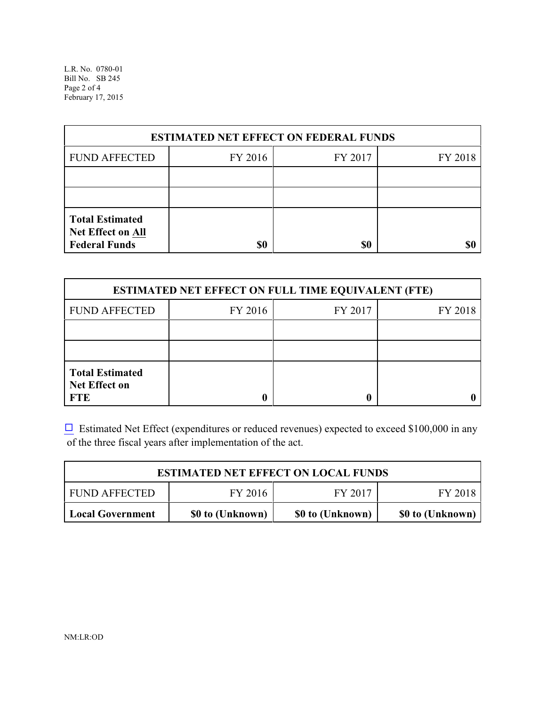L.R. No. 0780-01 Bill No. SB 245 Page 2 of 4 February 17, 2015

| <b>ESTIMATED NET EFFECT ON FEDERAL FUNDS</b>                        |         |         |         |  |
|---------------------------------------------------------------------|---------|---------|---------|--|
| <b>FUND AFFECTED</b>                                                | FY 2016 | FY 2017 | FY 2018 |  |
|                                                                     |         |         |         |  |
|                                                                     |         |         |         |  |
| <b>Total Estimated</b><br>Net Effect on All<br><b>Federal Funds</b> | \$0     | \$0     |         |  |

| <b>ESTIMATED NET EFFECT ON FULL TIME EQUIVALENT (FTE)</b>    |         |         |         |  |
|--------------------------------------------------------------|---------|---------|---------|--|
| <b>FUND AFFECTED</b>                                         | FY 2016 | FY 2017 | FY 2018 |  |
|                                                              |         |         |         |  |
|                                                              |         |         |         |  |
| <b>Total Estimated</b><br><b>Net Effect on</b><br><b>FTE</b> |         |         |         |  |

 $\Box$  Estimated Net Effect (expenditures or reduced revenues) expected to exceed \$100,000 in any of the three fiscal years after implementation of the act.

| <b>ESTIMATED NET EFFECT ON LOCAL FUNDS</b> |                  |                  |                  |  |
|--------------------------------------------|------------------|------------------|------------------|--|
| <b>FUND AFFECTED</b>                       | FY 2016          | FY 2017          | FY 2018          |  |
| Local Government                           | \$0 to (Unknown) | \$0 to (Unknown) | \$0 to (Unknown) |  |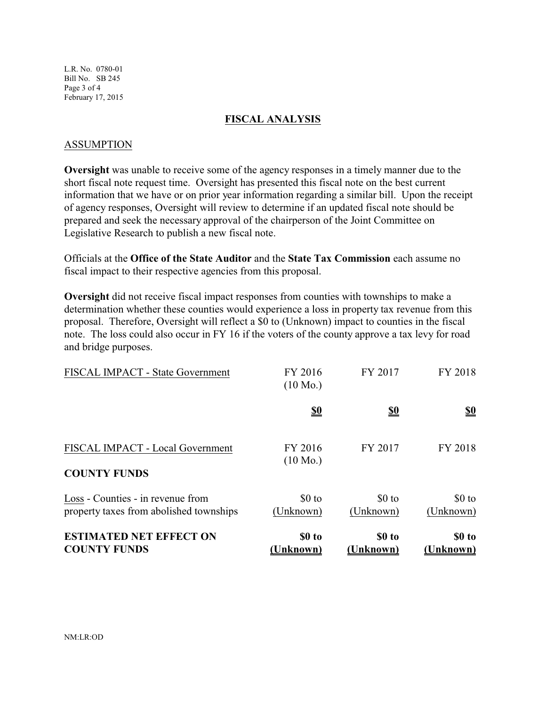L.R. No. 0780-01 Bill No. SB 245 Page 3 of 4 February 17, 2015

#### **FISCAL ANALYSIS**

### ASSUMPTION

**Oversight** was unable to receive some of the agency responses in a timely manner due to the short fiscal note request time. Oversight has presented this fiscal note on the best current information that we have or on prior year information regarding a similar bill. Upon the receipt of agency responses, Oversight will review to determine if an updated fiscal note should be prepared and seek the necessary approval of the chairperson of the Joint Committee on Legislative Research to publish a new fiscal note.

Officials at the **Office of the State Auditor** and the **State Tax Commission** each assume no fiscal impact to their respective agencies from this proposal.

**Oversight** did not receive fiscal impact responses from counties with townships to make a determination whether these counties would experience a loss in property tax revenue from this proposal. Therefore, Oversight will reflect a \$0 to (Unknown) impact to counties in the fiscal note. The loss could also occur in FY 16 if the voters of the county approve a tax levy for road and bridge purposes.

| <b>ESTIMATED NET EFFECT ON</b><br><b>COUNTY FUNDS</b>                        | \$0 to<br>(Unknown)           | \$0 to<br>(Unknown)  | \$0 to<br>(Unknown)  |
|------------------------------------------------------------------------------|-------------------------------|----------------------|----------------------|
| Loss - Counties - in revenue from<br>property taxes from abolished townships | $$0$ to<br>(Unknown)          | $$0$ to<br>(Unknown) | $$0$ to<br>(Unknown) |
| FISCAL IMPACT - Local Government<br><b>COUNTY FUNDS</b>                      | FY 2016<br>$(10 \text{ Mo.})$ | FY 2017              | FY 2018              |
|                                                                              | <u>\$0</u>                    | <u>\$0</u>           | <u>\$0</u>           |
| FISCAL IMPACT - State Government                                             | FY 2016<br>$(10 \text{ Mo.})$ | FY 2017              | FY 2018              |